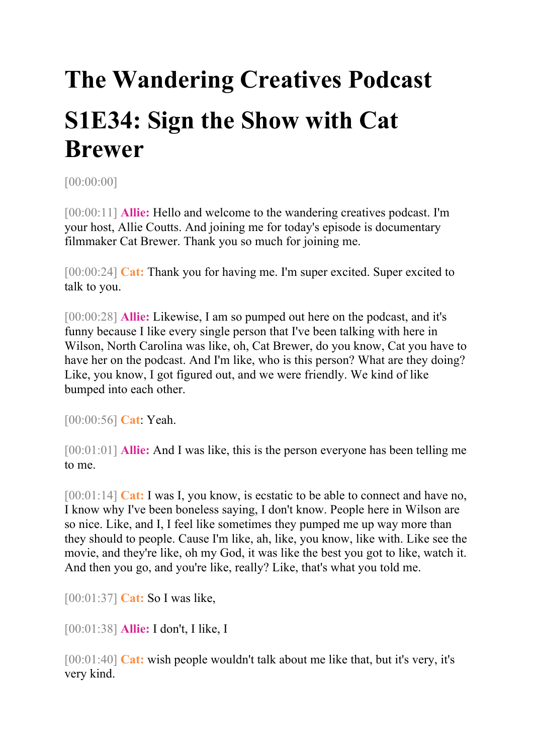## **The Wandering Creatives Podcast S1E34: Sign the Show with Cat Brewer**

[00:00:00]

[00:00:11] **Allie:** Hello and welcome to the wandering creatives podcast. I'm your host, Allie Coutts. And joining me for today's episode is documentary filmmaker Cat Brewer. Thank you so much for joining me.

[00:00:24] **Cat:** Thank you for having me. I'm super excited. Super excited to talk to you.

[00:00:28] **Allie:** Likewise, I am so pumped out here on the podcast, and it's funny because I like every single person that I've been talking with here in Wilson, North Carolina was like, oh, Cat Brewer, do you know, Cat you have to have her on the podcast. And I'm like, who is this person? What are they doing? Like, you know, I got figured out, and we were friendly. We kind of like bumped into each other.

[00:00:56] **Cat**: Yeah.

[00:01:01] **Allie:** And I was like, this is the person everyone has been telling me to me.

[00:01:14] **Cat:** I was I, you know, is ecstatic to be able to connect and have no, I know why I've been boneless saying, I don't know. People here in Wilson are so nice. Like, and I, I feel like sometimes they pumped me up way more than they should to people. Cause I'm like, ah, like, you know, like with. Like see the movie, and they're like, oh my God, it was like the best you got to like, watch it. And then you go, and you're like, really? Like, that's what you told me.

[00:01:37] **Cat:** So I was like,

[00:01:38] **Allie:** I don't, I like, I

[00:01:40] **Cat:** wish people wouldn't talk about me like that, but it's very, it's very kind.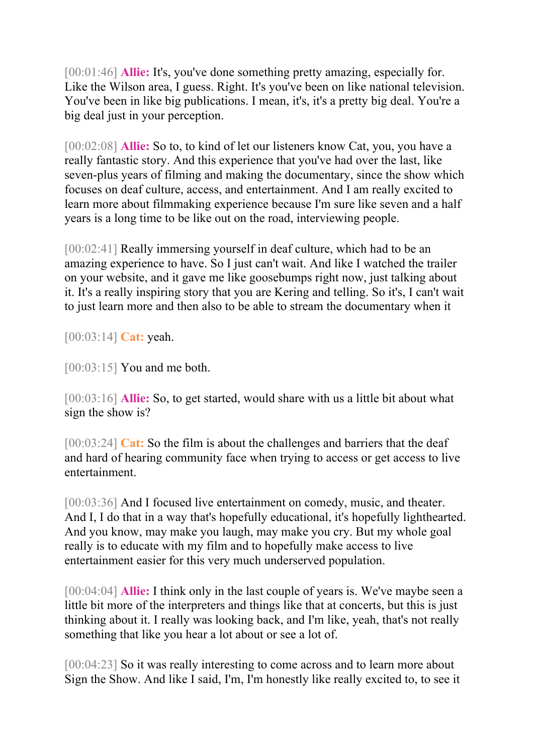[00:01:46] **Allie:** It's, you've done something pretty amazing, especially for. Like the Wilson area, I guess. Right. It's you've been on like national television. You've been in like big publications. I mean, it's, it's a pretty big deal. You're a big deal just in your perception.

[00:02:08] **Allie:** So to, to kind of let our listeners know Cat, you, you have a really fantastic story. And this experience that you've had over the last, like seven-plus years of filming and making the documentary, since the show which focuses on deaf culture, access, and entertainment. And I am really excited to learn more about filmmaking experience because I'm sure like seven and a half years is a long time to be like out on the road, interviewing people.

[00:02:41] Really immersing yourself in deaf culture, which had to be an amazing experience to have. So I just can't wait. And like I watched the trailer on your website, and it gave me like goosebumps right now, just talking about it. It's a really inspiring story that you are Kering and telling. So it's, I can't wait to just learn more and then also to be able to stream the documentary when it

[00:03:14] **Cat:** yeah.

[00:03:15] You and me both.

[00:03:16] **Allie:** So, to get started, would share with us a little bit about what sign the show is?

[00:03:24] **Cat:** So the film is about the challenges and barriers that the deaf and hard of hearing community face when trying to access or get access to live entertainment.

[00:03:36] And I focused live entertainment on comedy, music, and theater. And I, I do that in a way that's hopefully educational, it's hopefully lighthearted. And you know, may make you laugh, may make you cry. But my whole goal really is to educate with my film and to hopefully make access to live entertainment easier for this very much underserved population.

[00:04:04] **Allie:** I think only in the last couple of years is. We've maybe seen a little bit more of the interpreters and things like that at concerts, but this is just thinking about it. I really was looking back, and I'm like, yeah, that's not really something that like you hear a lot about or see a lot of.

[00:04:23] So it was really interesting to come across and to learn more about Sign the Show. And like I said, I'm, I'm honestly like really excited to, to see it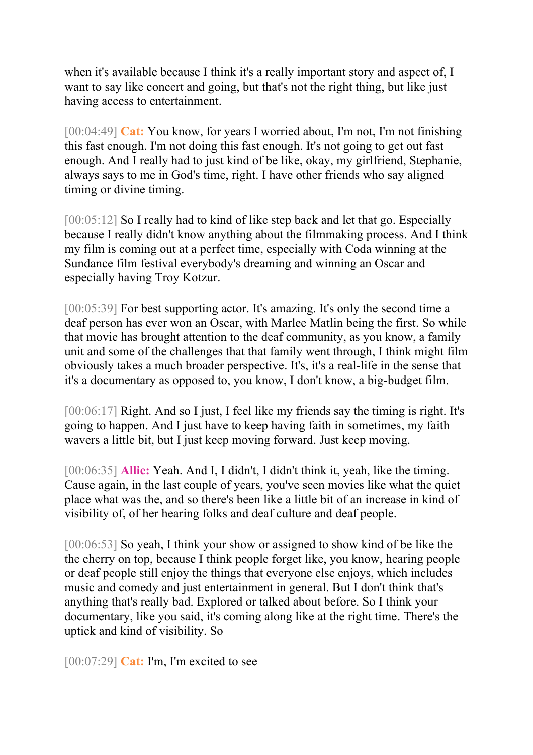when it's available because I think it's a really important story and aspect of, I want to say like concert and going, but that's not the right thing, but like just having access to entertainment.

[00:04:49] **Cat:** You know, for years I worried about, I'm not, I'm not finishing this fast enough. I'm not doing this fast enough. It's not going to get out fast enough. And I really had to just kind of be like, okay, my girlfriend, Stephanie, always says to me in God's time, right. I have other friends who say aligned timing or divine timing.

[00:05:12] So I really had to kind of like step back and let that go. Especially because I really didn't know anything about the filmmaking process. And I think my film is coming out at a perfect time, especially with Coda winning at the Sundance film festival everybody's dreaming and winning an Oscar and especially having Troy Kotzur.

[00:05:39] For best supporting actor. It's amazing. It's only the second time a deaf person has ever won an Oscar, with Marlee Matlin being the first. So while that movie has brought attention to the deaf community, as you know, a family unit and some of the challenges that that family went through, I think might film obviously takes a much broader perspective. It's, it's a real-life in the sense that it's a documentary as opposed to, you know, I don't know, a big-budget film.

[00:06:17] Right. And so I just, I feel like my friends say the timing is right. It's going to happen. And I just have to keep having faith in sometimes, my faith wavers a little bit, but I just keep moving forward. Just keep moving.

[00:06:35] **Allie:** Yeah. And I, I didn't, I didn't think it, yeah, like the timing. Cause again, in the last couple of years, you've seen movies like what the quiet place what was the, and so there's been like a little bit of an increase in kind of visibility of, of her hearing folks and deaf culture and deaf people.

[00:06:53] So yeah, I think your show or assigned to show kind of be like the the cherry on top, because I think people forget like, you know, hearing people or deaf people still enjoy the things that everyone else enjoys, which includes music and comedy and just entertainment in general. But I don't think that's anything that's really bad. Explored or talked about before. So I think your documentary, like you said, it's coming along like at the right time. There's the uptick and kind of visibility. So

[00:07:29] **Cat:** I'm, I'm excited to see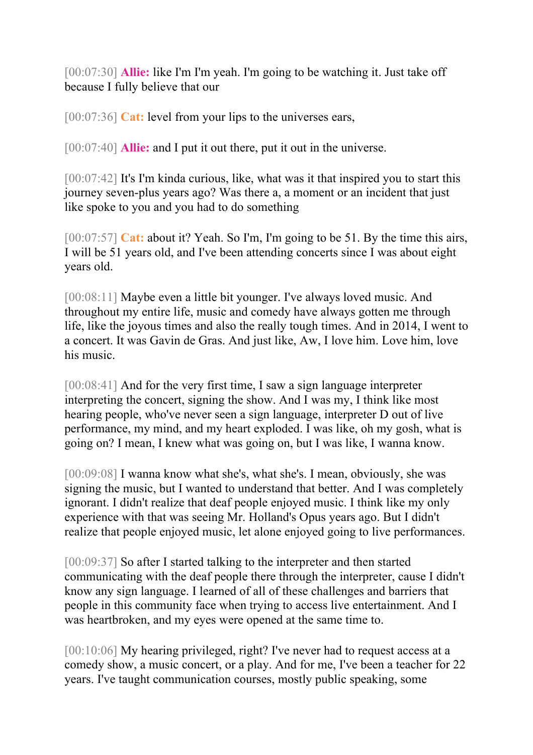[00:07:30] **Allie:** like I'm I'm yeah. I'm going to be watching it. Just take off because I fully believe that our

[00:07:36] **Cat:** level from your lips to the universes ears,

[00:07:40] **Allie:** and I put it out there, put it out in the universe.

[00:07:42] It's I'm kinda curious, like, what was it that inspired you to start this journey seven-plus years ago? Was there a, a moment or an incident that just like spoke to you and you had to do something

[00:07:57] **Cat:** about it? Yeah. So I'm, I'm going to be 51. By the time this airs, I will be 51 years old, and I've been attending concerts since I was about eight years old.

[00:08:11] Maybe even a little bit younger. I've always loved music. And throughout my entire life, music and comedy have always gotten me through life, like the joyous times and also the really tough times. And in 2014, I went to a concert. It was Gavin de Gras. And just like, Aw, I love him. Love him, love his music.

[00:08:41] And for the very first time, I saw a sign language interpreter interpreting the concert, signing the show. And I was my, I think like most hearing people, who've never seen a sign language, interpreter D out of live performance, my mind, and my heart exploded. I was like, oh my gosh, what is going on? I mean, I knew what was going on, but I was like, I wanna know.

[00:09:08] I wanna know what she's, what she's. I mean, obviously, she was signing the music, but I wanted to understand that better. And I was completely ignorant. I didn't realize that deaf people enjoyed music. I think like my only experience with that was seeing Mr. Holland's Opus years ago. But I didn't realize that people enjoyed music, let alone enjoyed going to live performances.

[00:09:37] So after I started talking to the interpreter and then started communicating with the deaf people there through the interpreter, cause I didn't know any sign language. I learned of all of these challenges and barriers that people in this community face when trying to access live entertainment. And I was heartbroken, and my eyes were opened at the same time to.

[00:10:06] My hearing privileged, right? I've never had to request access at a comedy show, a music concert, or a play. And for me, I've been a teacher for 22 years. I've taught communication courses, mostly public speaking, some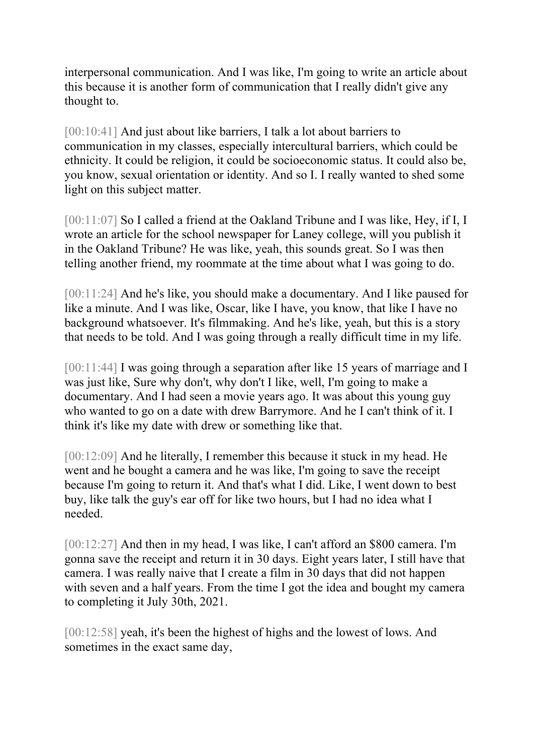interpersonal communication. And I was like, I'm going to write an article about this because it is another form of communication that I really didn't give any thought to.

[00:10:41] And just about like barriers, I talk a lot about barriers to communication in my classes, especially intercultural barriers, which could be ethnicity. It could be religion, it could be socioeconomic status. It could also be, you know, sexual orientation or identity. And so I. I really wanted to shed some light on this subject matter.

[00:11:07] So I called a friend at the Oakland Tribune and I was like, Hey, if I, I wrote an article for the school newspaper for Laney college, will you publish it in the Oakland Tribune? He was like, yeah, this sounds great. So I was then telling another friend, my roommate at the time about what I was going to do.

[00:11:24] And he's like, you should make a documentary. And I like paused for like a minute. And I was like, Oscar, like I have, you know, that like I have no background whatsoever. It's filmmaking. And he's like, yeah, but this is a story that needs to be told. And I was going through a really difficult time in my life.

[00:11:44] I was going through a separation after like 15 years of marriage and I was just like, Sure why don't, why don't I like, well, I'm going to make a documentary. And I had seen a movie years ago. It was about this young guy who wanted to go on a date with drew Barrymore. And he I can't think of it. I think it's like my date with drew or something like that.

[00:12:09] And he literally, I remember this because it stuck in my head. He went and he bought a camera and he was like, I'm going to save the receipt because I'm going to return it. And that's what I did. Like, I went down to best buy, like talk the guy's ear off for like two hours, but I had no idea what I needed.

[00:12:27] And then in my head, I was like, I can't afford an \$800 camera. I'm gonna save the receipt and return it in 30 days. Eight years later, I still have that camera. I was really naive that I create a film in 30 days that did not happen with seven and a half years. From the time I got the idea and bought my camera to completing it July 30th, 2021.

[00:12:58] yeah, it's been the highest of highs and the lowest of lows. And sometimes in the exact same day,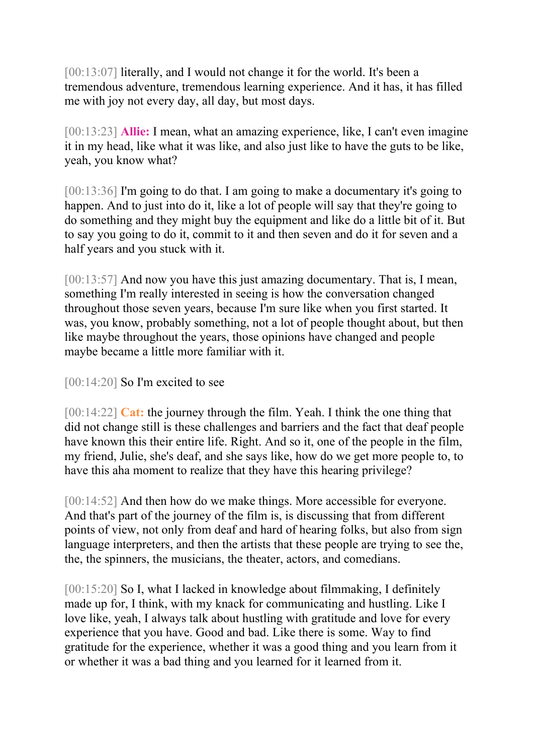[00:13:07] literally, and I would not change it for the world. It's been a tremendous adventure, tremendous learning experience. And it has, it has filled me with joy not every day, all day, but most days.

[00:13:23] **Allie:** I mean, what an amazing experience, like, I can't even imagine it in my head, like what it was like, and also just like to have the guts to be like, yeah, you know what?

[00:13:36] I'm going to do that. I am going to make a documentary it's going to happen. And to just into do it, like a lot of people will say that they're going to do something and they might buy the equipment and like do a little bit of it. But to say you going to do it, commit to it and then seven and do it for seven and a half years and you stuck with it.

[00:13:57] And now you have this just amazing documentary. That is, I mean, something I'm really interested in seeing is how the conversation changed throughout those seven years, because I'm sure like when you first started. It was, you know, probably something, not a lot of people thought about, but then like maybe throughout the years, those opinions have changed and people maybe became a little more familiar with it.

[00:14:20] So I'm excited to see

[00:14:22] **Cat:** the journey through the film. Yeah. I think the one thing that did not change still is these challenges and barriers and the fact that deaf people have known this their entire life. Right. And so it, one of the people in the film, my friend, Julie, she's deaf, and she says like, how do we get more people to, to have this aha moment to realize that they have this hearing privilege?

[00:14:52] And then how do we make things. More accessible for everyone. And that's part of the journey of the film is, is discussing that from different points of view, not only from deaf and hard of hearing folks, but also from sign language interpreters, and then the artists that these people are trying to see the, the, the spinners, the musicians, the theater, actors, and comedians.

[00:15:20] So I, what I lacked in knowledge about filmmaking, I definitely made up for, I think, with my knack for communicating and hustling. Like I love like, yeah, I always talk about hustling with gratitude and love for every experience that you have. Good and bad. Like there is some. Way to find gratitude for the experience, whether it was a good thing and you learn from it or whether it was a bad thing and you learned for it learned from it.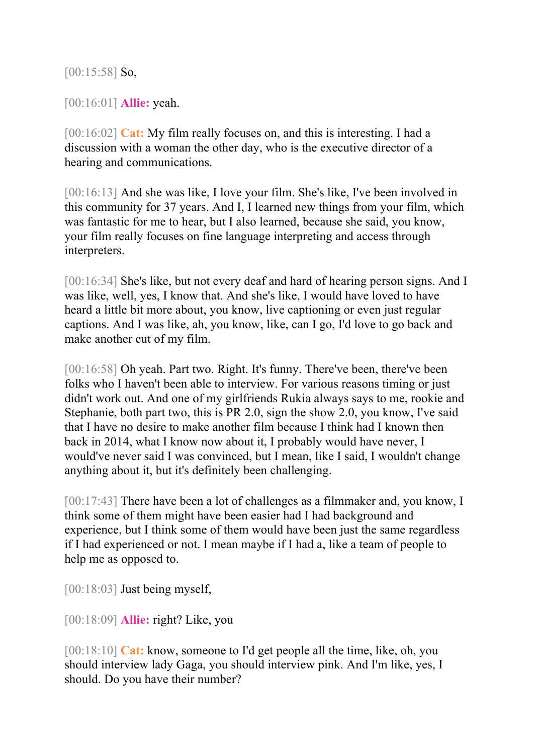[00:15:58] **So,** 

[00:16:01] **Allie:** yeah.

[00:16:02] **Cat:** My film really focuses on, and this is interesting. I had a discussion with a woman the other day, who is the executive director of a hearing and communications.

[00:16:13] And she was like, I love your film. She's like, I've been involved in this community for 37 years. And I, I learned new things from your film, which was fantastic for me to hear, but I also learned, because she said, you know, your film really focuses on fine language interpreting and access through interpreters.

[00:16:34] She's like, but not every deaf and hard of hearing person signs. And I was like, well, yes, I know that. And she's like, I would have loved to have heard a little bit more about, you know, live captioning or even just regular captions. And I was like, ah, you know, like, can I go, I'd love to go back and make another cut of my film.

[00:16:58] Oh yeah. Part two. Right. It's funny. There've been, there've been folks who I haven't been able to interview. For various reasons timing or just didn't work out. And one of my girlfriends Rukia always says to me, rookie and Stephanie, both part two, this is PR 2.0, sign the show 2.0, you know, I've said that I have no desire to make another film because I think had I known then back in 2014, what I know now about it, I probably would have never, I would've never said I was convinced, but I mean, like I said, I wouldn't change anything about it, but it's definitely been challenging.

[00:17:43] There have been a lot of challenges as a filmmaker and, you know, I think some of them might have been easier had I had background and experience, but I think some of them would have been just the same regardless if I had experienced or not. I mean maybe if I had a, like a team of people to help me as opposed to.

[00:18:03] Just being myself,

[00:18:09] **Allie:** right? Like, you

[00:18:10] **Cat:** know, someone to I'd get people all the time, like, oh, you should interview lady Gaga, you should interview pink. And I'm like, yes, I should. Do you have their number?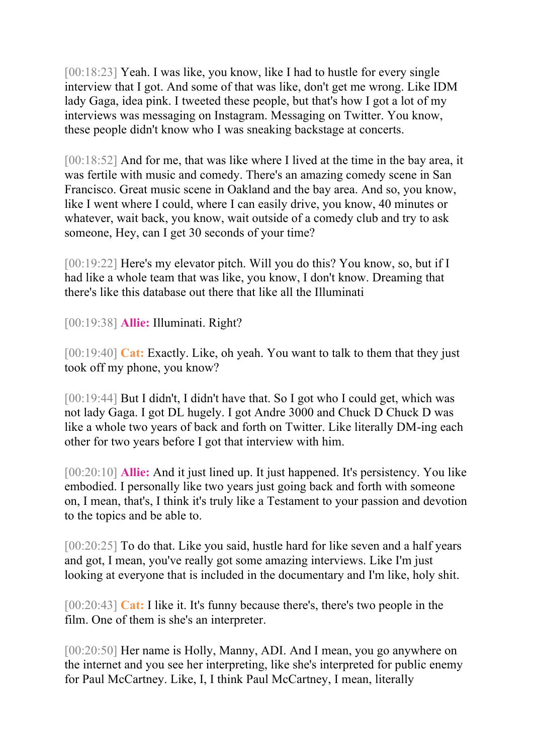[00:18:23] Yeah. I was like, you know, like I had to hustle for every single interview that I got. And some of that was like, don't get me wrong. Like IDM lady Gaga, idea pink. I tweeted these people, but that's how I got a lot of my interviews was messaging on Instagram. Messaging on Twitter. You know, these people didn't know who I was sneaking backstage at concerts.

[00:18:52] And for me, that was like where I lived at the time in the bay area, it was fertile with music and comedy. There's an amazing comedy scene in San Francisco. Great music scene in Oakland and the bay area. And so, you know, like I went where I could, where I can easily drive, you know, 40 minutes or whatever, wait back, you know, wait outside of a comedy club and try to ask someone, Hey, can I get 30 seconds of your time?

[00:19:22] Here's my elevator pitch. Will you do this? You know, so, but if I had like a whole team that was like, you know, I don't know. Dreaming that there's like this database out there that like all the Illuminati

[00:19:38] **Allie:** Illuminati. Right?

[00:19:40] **Cat:** Exactly. Like, oh yeah. You want to talk to them that they just took off my phone, you know?

[00:19:44] But I didn't, I didn't have that. So I got who I could get, which was not lady Gaga. I got DL hugely. I got Andre 3000 and Chuck D Chuck D was like a whole two years of back and forth on Twitter. Like literally DM-ing each other for two years before I got that interview with him.

[00:20:10] **Allie:** And it just lined up. It just happened. It's persistency. You like embodied. I personally like two years just going back and forth with someone on, I mean, that's, I think it's truly like a Testament to your passion and devotion to the topics and be able to.

[00:20:25] To do that. Like you said, hustle hard for like seven and a half years and got, I mean, you've really got some amazing interviews. Like I'm just looking at everyone that is included in the documentary and I'm like, holy shit.

[00:20:43] **Cat:** I like it. It's funny because there's, there's two people in the film. One of them is she's an interpreter.

[00:20:50] Her name is Holly, Manny, ADI. And I mean, you go anywhere on the internet and you see her interpreting, like she's interpreted for public enemy for Paul McCartney. Like, I, I think Paul McCartney, I mean, literally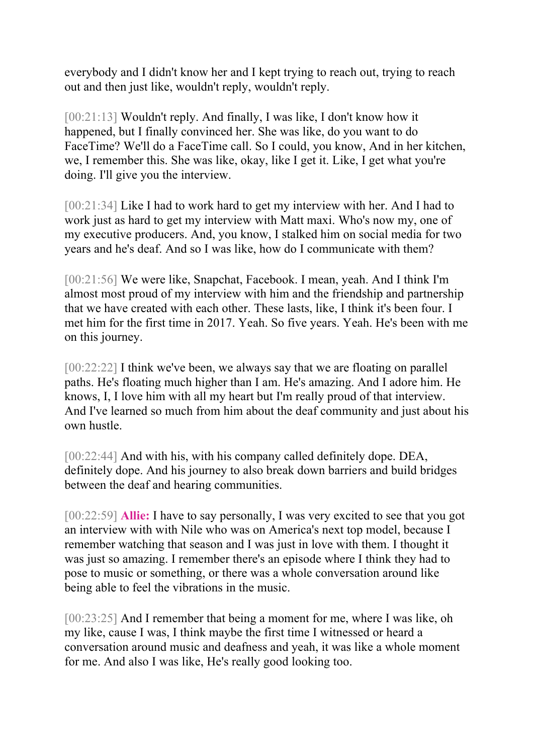everybody and I didn't know her and I kept trying to reach out, trying to reach out and then just like, wouldn't reply, wouldn't reply.

[00:21:13] Wouldn't reply. And finally, I was like, I don't know how it happened, but I finally convinced her. She was like, do you want to do FaceTime? We'll do a FaceTime call. So I could, you know, And in her kitchen, we, I remember this. She was like, okay, like I get it. Like, I get what you're doing. I'll give you the interview.

[00:21:34] Like I had to work hard to get my interview with her. And I had to work just as hard to get my interview with Matt maxi. Who's now my, one of my executive producers. And, you know, I stalked him on social media for two years and he's deaf. And so I was like, how do I communicate with them?

[00:21:56] We were like, Snapchat, Facebook. I mean, yeah. And I think I'm almost most proud of my interview with him and the friendship and partnership that we have created with each other. These lasts, like, I think it's been four. I met him for the first time in 2017. Yeah. So five years. Yeah. He's been with me on this journey.

[00:22:22] I think we've been, we always say that we are floating on parallel paths. He's floating much higher than I am. He's amazing. And I adore him. He knows, I, I love him with all my heart but I'm really proud of that interview. And I've learned so much from him about the deaf community and just about his own hustle.

[00:22:44] And with his, with his company called definitely dope. DEA, definitely dope. And his journey to also break down barriers and build bridges between the deaf and hearing communities.

[00:22:59] **Allie:** I have to say personally, I was very excited to see that you got an interview with with Nile who was on America's next top model, because I remember watching that season and I was just in love with them. I thought it was just so amazing. I remember there's an episode where I think they had to pose to music or something, or there was a whole conversation around like being able to feel the vibrations in the music.

[00:23:25] And I remember that being a moment for me, where I was like, oh my like, cause I was, I think maybe the first time I witnessed or heard a conversation around music and deafness and yeah, it was like a whole moment for me. And also I was like, He's really good looking too.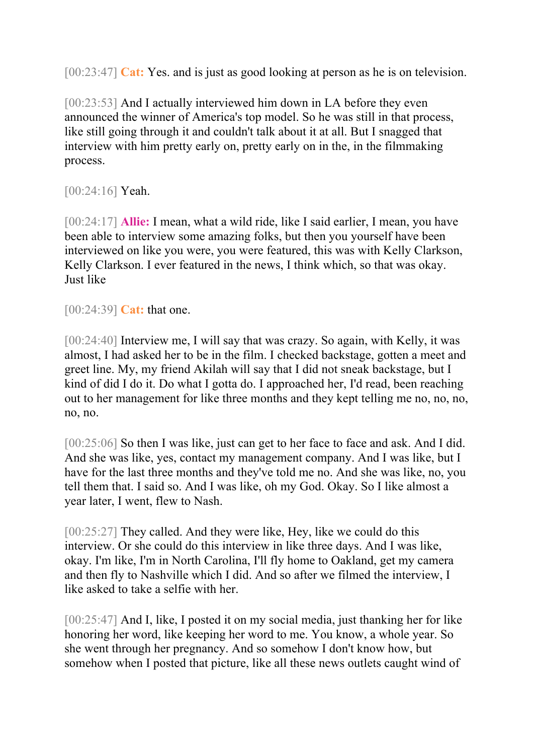[00:23:47] **Cat:** Yes. and is just as good looking at person as he is on television.

[00:23:53] And I actually interviewed him down in LA before they even announced the winner of America's top model. So he was still in that process, like still going through it and couldn't talk about it at all. But I snagged that interview with him pretty early on, pretty early on in the, in the filmmaking process.

[00:24:16] **Yeah.** 

[00:24:17] **Allie:** I mean, what a wild ride, like I said earlier, I mean, you have been able to interview some amazing folks, but then you yourself have been interviewed on like you were, you were featured, this was with Kelly Clarkson, Kelly Clarkson. I ever featured in the news, I think which, so that was okay. Just like

[00:24:39] **Cat:** that one.

[00:24:40] Interview me, I will say that was crazy. So again, with Kelly, it was almost, I had asked her to be in the film. I checked backstage, gotten a meet and greet line. My, my friend Akilah will say that I did not sneak backstage, but I kind of did I do it. Do what I gotta do. I approached her, I'd read, been reaching out to her management for like three months and they kept telling me no, no, no, no, no.

[00:25:06] So then I was like, just can get to her face to face and ask. And I did. And she was like, yes, contact my management company. And I was like, but I have for the last three months and they've told me no. And she was like, no, you tell them that. I said so. And I was like, oh my God. Okay. So I like almost a year later, I went, flew to Nash.

[00:25:27] They called. And they were like, Hey, like we could do this interview. Or she could do this interview in like three days. And I was like, okay. I'm like, I'm in North Carolina, I'll fly home to Oakland, get my camera and then fly to Nashville which I did. And so after we filmed the interview, I like asked to take a selfie with her.

[00:25:47] And I, like, I posted it on my social media, just thanking her for like honoring her word, like keeping her word to me. You know, a whole year. So she went through her pregnancy. And so somehow I don't know how, but somehow when I posted that picture, like all these news outlets caught wind of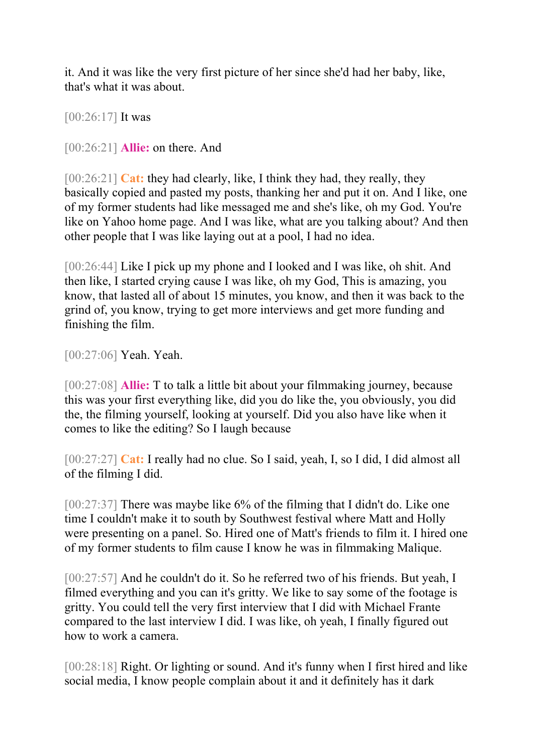it. And it was like the very first picture of her since she'd had her baby, like, that's what it was about.

[00:26:17] It was

[00:26:21] **Allie:** on there. And

[00:26:21] **Cat:** they had clearly, like, I think they had, they really, they basically copied and pasted my posts, thanking her and put it on. And I like, one of my former students had like messaged me and she's like, oh my God. You're like on Yahoo home page. And I was like, what are you talking about? And then other people that I was like laying out at a pool, I had no idea.

[00:26:44] Like I pick up my phone and I looked and I was like, oh shit. And then like, I started crying cause I was like, oh my God, This is amazing, you know, that lasted all of about 15 minutes, you know, and then it was back to the grind of, you know, trying to get more interviews and get more funding and finishing the film.

[00:27:06] **Yeah. Yeah.** 

[00:27:08] **Allie:** T to talk a little bit about your filmmaking journey, because this was your first everything like, did you do like the, you obviously, you did the, the filming yourself, looking at yourself. Did you also have like when it comes to like the editing? So I laugh because

[00:27:27] **Cat:** I really had no clue. So I said, yeah, I, so I did, I did almost all of the filming I did.

[00:27:37] There was maybe like 6% of the filming that I didn't do. Like one time I couldn't make it to south by Southwest festival where Matt and Holly were presenting on a panel. So. Hired one of Matt's friends to film it. I hired one of my former students to film cause I know he was in filmmaking Malique.

[00:27:57] And he couldn't do it. So he referred two of his friends. But yeah, I filmed everything and you can it's gritty. We like to say some of the footage is gritty. You could tell the very first interview that I did with Michael Frante compared to the last interview I did. I was like, oh yeah, I finally figured out how to work a camera.

[00:28:18] Right. Or lighting or sound. And it's funny when I first hired and like social media, I know people complain about it and it definitely has it dark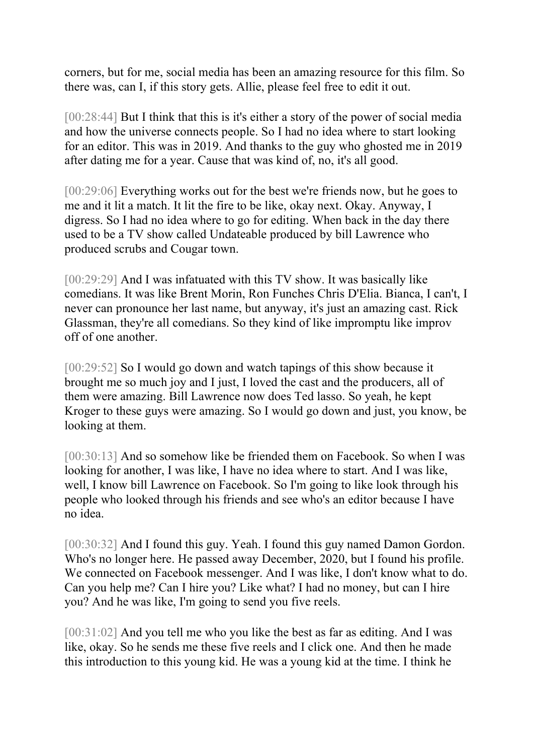corners, but for me, social media has been an amazing resource for this film. So there was, can I, if this story gets. Allie, please feel free to edit it out.

[00:28:44] But I think that this is it's either a story of the power of social media and how the universe connects people. So I had no idea where to start looking for an editor. This was in 2019. And thanks to the guy who ghosted me in 2019 after dating me for a year. Cause that was kind of, no, it's all good.

[00:29:06] Everything works out for the best we're friends now, but he goes to me and it lit a match. It lit the fire to be like, okay next. Okay. Anyway, I digress. So I had no idea where to go for editing. When back in the day there used to be a TV show called Undateable produced by bill Lawrence who produced scrubs and Cougar town.

[00:29:29] And I was infatuated with this TV show. It was basically like comedians. It was like Brent Morin, Ron Funches Chris D'Elia. Bianca, I can't, I never can pronounce her last name, but anyway, it's just an amazing cast. Rick Glassman, they're all comedians. So they kind of like impromptu like improv off of one another.

[00:29:52] So I would go down and watch tapings of this show because it brought me so much joy and I just, I loved the cast and the producers, all of them were amazing. Bill Lawrence now does Ted lasso. So yeah, he kept Kroger to these guys were amazing. So I would go down and just, you know, be looking at them.

[00:30:13] And so somehow like be friended them on Facebook. So when I was looking for another, I was like, I have no idea where to start. And I was like, well, I know bill Lawrence on Facebook. So I'm going to like look through his people who looked through his friends and see who's an editor because I have no idea.

[00:30:32] And I found this guy. Yeah. I found this guy named Damon Gordon. Who's no longer here. He passed away December, 2020, but I found his profile. We connected on Facebook messenger. And I was like, I don't know what to do. Can you help me? Can I hire you? Like what? I had no money, but can I hire you? And he was like, I'm going to send you five reels.

[00:31:02] And you tell me who you like the best as far as editing. And I was like, okay. So he sends me these five reels and I click one. And then he made this introduction to this young kid. He was a young kid at the time. I think he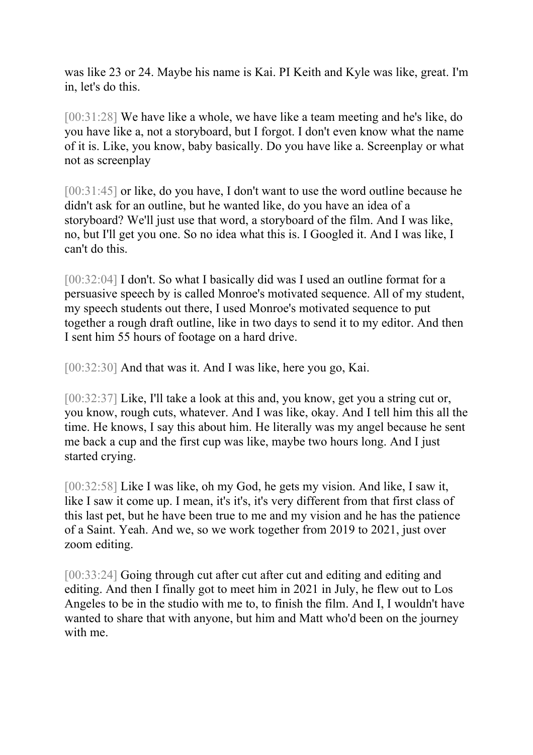was like 23 or 24. Maybe his name is Kai. PI Keith and Kyle was like, great. I'm in, let's do this.

[00:31:28] We have like a whole, we have like a team meeting and he's like, do you have like a, not a storyboard, but I forgot. I don't even know what the name of it is. Like, you know, baby basically. Do you have like a. Screenplay or what not as screenplay

[00:31:45] or like, do you have, I don't want to use the word outline because he didn't ask for an outline, but he wanted like, do you have an idea of a storyboard? We'll just use that word, a storyboard of the film. And I was like, no, but I'll get you one. So no idea what this is. I Googled it. And I was like, I can't do this.

[00:32:04] I don't. So what I basically did was I used an outline format for a persuasive speech by is called Monroe's motivated sequence. All of my student, my speech students out there, I used Monroe's motivated sequence to put together a rough draft outline, like in two days to send it to my editor. And then I sent him 55 hours of footage on a hard drive.

[00:32:30] And that was it. And I was like, here you go, Kai.

[00:32:37] Like, I'll take a look at this and, you know, get you a string cut or, you know, rough cuts, whatever. And I was like, okay. And I tell him this all the time. He knows, I say this about him. He literally was my angel because he sent me back a cup and the first cup was like, maybe two hours long. And I just started crying.

[00:32:58] Like I was like, oh my God, he gets my vision. And like, I saw it, like I saw it come up. I mean, it's it's, it's very different from that first class of this last pet, but he have been true to me and my vision and he has the patience of a Saint. Yeah. And we, so we work together from 2019 to 2021, just over zoom editing.

[00:33:24] Going through cut after cut after cut and editing and editing and editing. And then I finally got to meet him in 2021 in July, he flew out to Los Angeles to be in the studio with me to, to finish the film. And I, I wouldn't have wanted to share that with anyone, but him and Matt who'd been on the journey with me.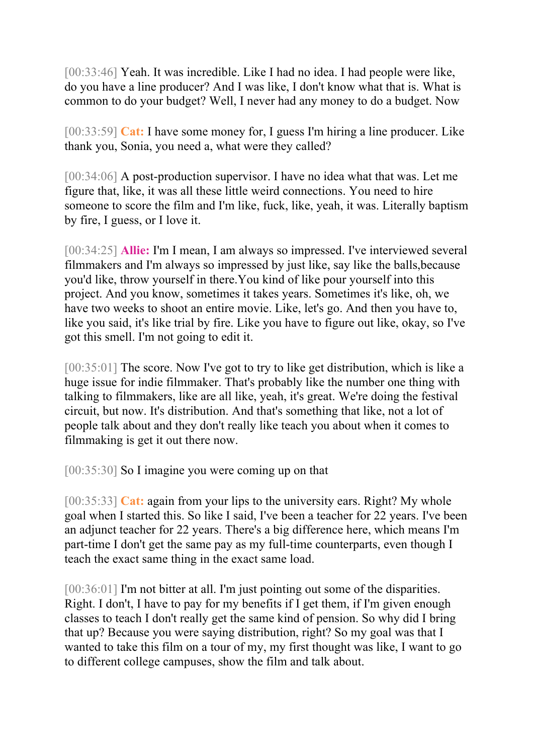[00:33:46] Yeah. It was incredible. Like I had no idea. I had people were like, do you have a line producer? And I was like, I don't know what that is. What is common to do your budget? Well, I never had any money to do a budget. Now

[00:33:59] **Cat:** I have some money for, I guess I'm hiring a line producer. Like thank you, Sonia, you need a, what were they called?

[00:34:06] A post-production supervisor. I have no idea what that was. Let me figure that, like, it was all these little weird connections. You need to hire someone to score the film and I'm like, fuck, like, yeah, it was. Literally baptism by fire, I guess, or I love it.

[00:34:25] **Allie:** I'm I mean, I am always so impressed. I've interviewed several filmmakers and I'm always so impressed by just like, say like the balls,because you'd like, throw yourself in there.You kind of like pour yourself into this project. And you know, sometimes it takes years. Sometimes it's like, oh, we have two weeks to shoot an entire movie. Like, let's go. And then you have to, like you said, it's like trial by fire. Like you have to figure out like, okay, so I've got this smell. I'm not going to edit it.

[00:35:01] The score. Now I've got to try to like get distribution, which is like a huge issue for indie filmmaker. That's probably like the number one thing with talking to filmmakers, like are all like, yeah, it's great. We're doing the festival circuit, but now. It's distribution. And that's something that like, not a lot of people talk about and they don't really like teach you about when it comes to filmmaking is get it out there now.

[00:35:30] So I imagine you were coming up on that

[00:35:33] **Cat:** again from your lips to the university ears. Right? My whole goal when I started this. So like I said, I've been a teacher for 22 years. I've been an adjunct teacher for 22 years. There's a big difference here, which means I'm part-time I don't get the same pay as my full-time counterparts, even though I teach the exact same thing in the exact same load.

[00:36:01] I'm not bitter at all. I'm just pointing out some of the disparities. Right. I don't, I have to pay for my benefits if I get them, if I'm given enough classes to teach I don't really get the same kind of pension. So why did I bring that up? Because you were saying distribution, right? So my goal was that I wanted to take this film on a tour of my, my first thought was like, I want to go to different college campuses, show the film and talk about.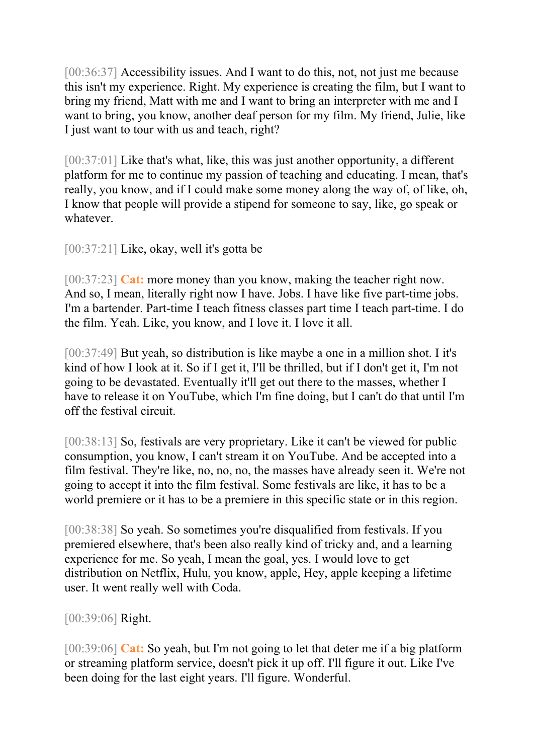[00:36:37] Accessibility issues. And I want to do this, not, not just me because this isn't my experience. Right. My experience is creating the film, but I want to bring my friend, Matt with me and I want to bring an interpreter with me and I want to bring, you know, another deaf person for my film. My friend, Julie, like I just want to tour with us and teach, right?

[00:37:01] Like that's what, like, this was just another opportunity, a different platform for me to continue my passion of teaching and educating. I mean, that's really, you know, and if I could make some money along the way of, of like, oh, I know that people will provide a stipend for someone to say, like, go speak or whatever.

[00:37:21] Like, okay, well it's gotta be

[00:37:23] **Cat:** more money than you know, making the teacher right now. And so, I mean, literally right now I have. Jobs. I have like five part-time jobs. I'm a bartender. Part-time I teach fitness classes part time I teach part-time. I do the film. Yeah. Like, you know, and I love it. I love it all.

[00:37:49] But yeah, so distribution is like maybe a one in a million shot. I it's kind of how I look at it. So if I get it, I'll be thrilled, but if I don't get it, I'm not going to be devastated. Eventually it'll get out there to the masses, whether I have to release it on YouTube, which I'm fine doing, but I can't do that until I'm off the festival circuit.

[00:38:13] So, festivals are very proprietary. Like it can't be viewed for public consumption, you know, I can't stream it on YouTube. And be accepted into a film festival. They're like, no, no, no, the masses have already seen it. We're not going to accept it into the film festival. Some festivals are like, it has to be a world premiere or it has to be a premiere in this specific state or in this region.

[00:38:38] So yeah. So sometimes you're disqualified from festivals. If you premiered elsewhere, that's been also really kind of tricky and, and a learning experience for me. So yeah, I mean the goal, yes. I would love to get distribution on Netflix, Hulu, you know, apple, Hey, apple keeping a lifetime user. It went really well with Coda.

[00:39:06] Right.

[00:39:06] **Cat:** So yeah, but I'm not going to let that deter me if a big platform or streaming platform service, doesn't pick it up off. I'll figure it out. Like I've been doing for the last eight years. I'll figure. Wonderful.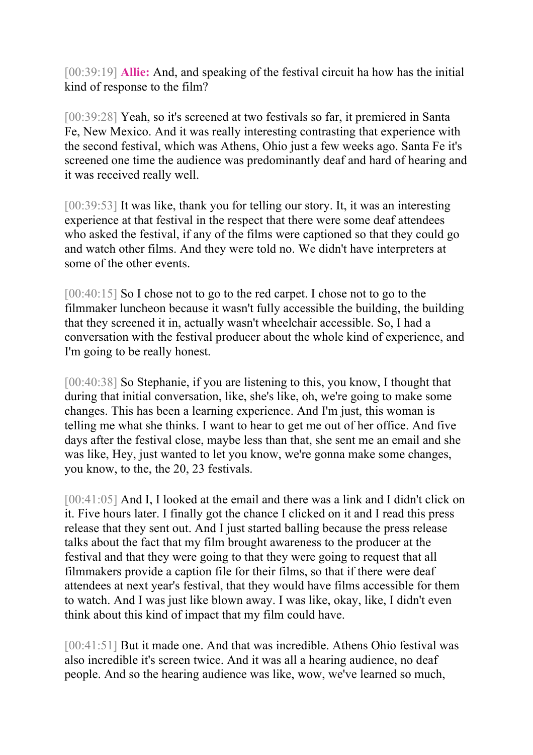[00:39:19] **Allie:** And, and speaking of the festival circuit ha how has the initial kind of response to the film?

[00:39:28] Yeah, so it's screened at two festivals so far, it premiered in Santa Fe, New Mexico. And it was really interesting contrasting that experience with the second festival, which was Athens, Ohio just a few weeks ago. Santa Fe it's screened one time the audience was predominantly deaf and hard of hearing and it was received really well.

[00:39:53] It was like, thank you for telling our story. It, it was an interesting experience at that festival in the respect that there were some deaf attendees who asked the festival, if any of the films were captioned so that they could go and watch other films. And they were told no. We didn't have interpreters at some of the other events.

[00:40:15] So I chose not to go to the red carpet. I chose not to go to the filmmaker luncheon because it wasn't fully accessible the building, the building that they screened it in, actually wasn't wheelchair accessible. So, I had a conversation with the festival producer about the whole kind of experience, and I'm going to be really honest.

[00:40:38] So Stephanie, if you are listening to this, you know, I thought that during that initial conversation, like, she's like, oh, we're going to make some changes. This has been a learning experience. And I'm just, this woman is telling me what she thinks. I want to hear to get me out of her office. And five days after the festival close, maybe less than that, she sent me an email and she was like, Hey, just wanted to let you know, we're gonna make some changes, you know, to the, the 20, 23 festivals.

[00:41:05] And I, I looked at the email and there was a link and I didn't click on it. Five hours later. I finally got the chance I clicked on it and I read this press release that they sent out. And I just started balling because the press release talks about the fact that my film brought awareness to the producer at the festival and that they were going to that they were going to request that all filmmakers provide a caption file for their films, so that if there were deaf attendees at next year's festival, that they would have films accessible for them to watch. And I was just like blown away. I was like, okay, like, I didn't even think about this kind of impact that my film could have.

[00:41:51] But it made one. And that was incredible. Athens Ohio festival was also incredible it's screen twice. And it was all a hearing audience, no deaf people. And so the hearing audience was like, wow, we've learned so much,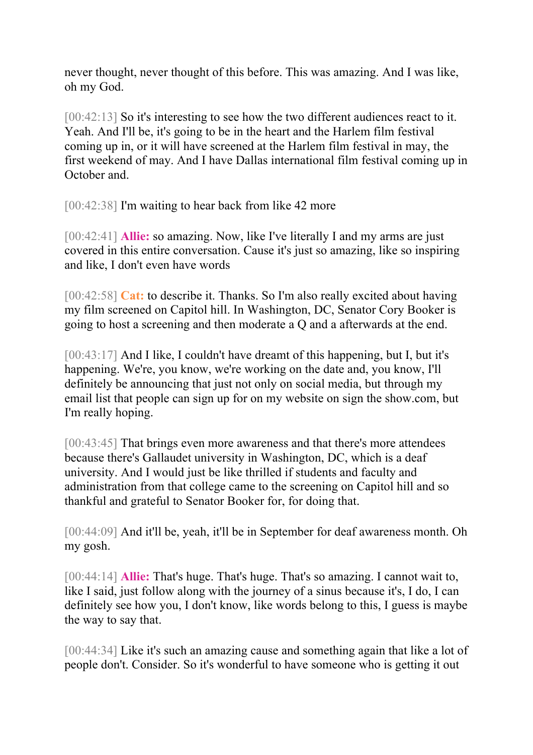never thought, never thought of this before. This was amazing. And I was like, oh my God.

[00:42:13] So it's interesting to see how the two different audiences react to it. Yeah. And I'll be, it's going to be in the heart and the Harlem film festival coming up in, or it will have screened at the Harlem film festival in may, the first weekend of may. And I have Dallas international film festival coming up in October and.

[00:42:38] I'm waiting to hear back from like 42 more

[00:42:41] **Allie:** so amazing. Now, like I've literally I and my arms are just covered in this entire conversation. Cause it's just so amazing, like so inspiring and like, I don't even have words

[00:42:58] **Cat:** to describe it. Thanks. So I'm also really excited about having my film screened on Capitol hill. In Washington, DC, Senator Cory Booker is going to host a screening and then moderate a Q and a afterwards at the end.

[00:43:17] And I like, I couldn't have dreamt of this happening, but I, but it's happening. We're, you know, we're working on the date and, you know, I'll definitely be announcing that just not only on social media, but through my email list that people can sign up for on my website on sign the show.com, but I'm really hoping.

[00:43:45] That brings even more awareness and that there's more attendees because there's Gallaudet university in Washington, DC, which is a deaf university. And I would just be like thrilled if students and faculty and administration from that college came to the screening on Capitol hill and so thankful and grateful to Senator Booker for, for doing that.

[00:44:09] And it'll be, yeah, it'll be in September for deaf awareness month. Oh my gosh.

[00:44:14] **Allie:** That's huge. That's huge. That's so amazing. I cannot wait to, like I said, just follow along with the journey of a sinus because it's, I do, I can definitely see how you, I don't know, like words belong to this, I guess is maybe the way to say that.

[00:44:34] Like it's such an amazing cause and something again that like a lot of people don't. Consider. So it's wonderful to have someone who is getting it out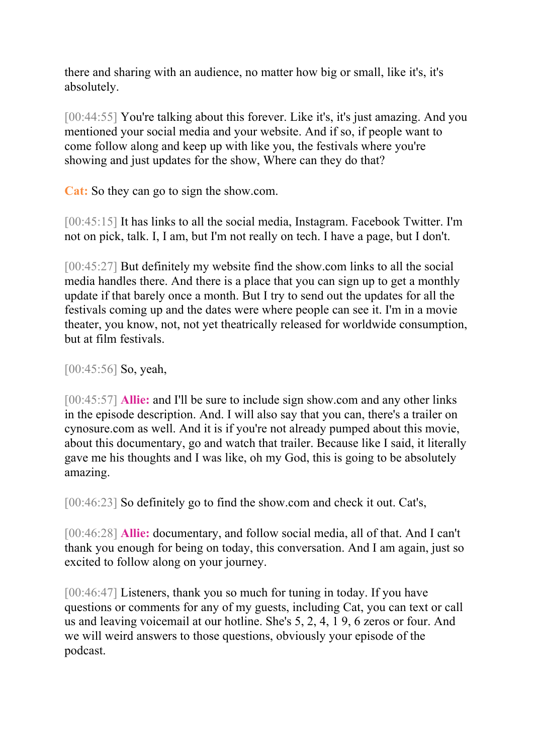there and sharing with an audience, no matter how big or small, like it's, it's absolutely.

[00:44:55] You're talking about this forever. Like it's, it's just amazing. And you mentioned your social media and your website. And if so, if people want to come follow along and keep up with like you, the festivals where you're showing and just updates for the show, Where can they do that?

**Cat:** So they can go to sign the show.com.

[00:45:15] It has links to all the social media, Instagram. Facebook Twitter. I'm not on pick, talk. I, I am, but I'm not really on tech. I have a page, but I don't.

[00:45:27] But definitely my website find the show.com links to all the social media handles there. And there is a place that you can sign up to get a monthly update if that barely once a month. But I try to send out the updates for all the festivals coming up and the dates were where people can see it. I'm in a movie theater, you know, not, not yet theatrically released for worldwide consumption, but at film festivals.

[00:45:56] So, yeah,

[00:45:57] **Allie:** and I'll be sure to include sign show.com and any other links in the episode description. And. I will also say that you can, there's a trailer on cynosure.com as well. And it is if you're not already pumped about this movie, about this documentary, go and watch that trailer. Because like I said, it literally gave me his thoughts and I was like, oh my God, this is going to be absolutely amazing.

[00:46:23] So definitely go to find the show.com and check it out. Cat's,

[00:46:28] **Allie:** documentary, and follow social media, all of that. And I can't thank you enough for being on today, this conversation. And I am again, just so excited to follow along on your journey.

[00:46:47] Listeners, thank you so much for tuning in today. If you have questions or comments for any of my guests, including Cat, you can text or call us and leaving voicemail at our hotline. She's 5, 2, 4, 1 9, 6 zeros or four. And we will weird answers to those questions, obviously your episode of the podcast.